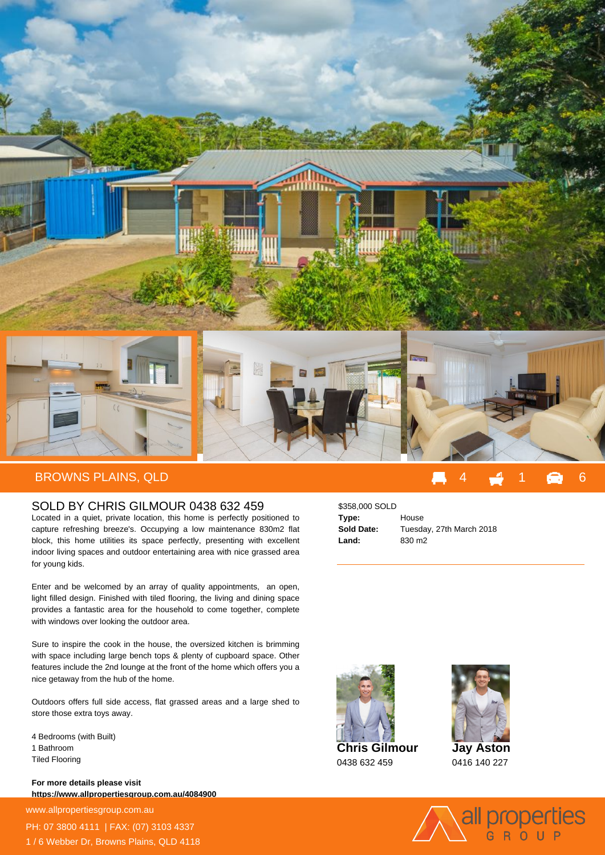

## SOLD BY CHRIS GILMOUR 0438 632 459

Located in a quiet, private location, this home is perfectly positioned to capture refreshing breeze's. Occupying a low maintenance 830m2 flat block, this home utilities its space perfectly, presenting with excellent indoor living spaces and outdoor entertaining area with nice grassed area for young kids.

Enter and be welcomed by an array of quality appointments, an open, light filled design. Finished with tiled flooring, the living and dining space provides a fantastic area for the household to come together, complete with windows over looking the outdoor area.

Sure to inspire the cook in the house, the oversized kitchen is brimming with space including large bench tops & plenty of cupboard space. Other features include the 2nd lounge at the front of the home which offers you a nice getaway from the hub of the home.

Outdoors offers full side access, flat grassed areas and a large shed to store those extra toys away.

4 Bedrooms (with Built) 1 Bathroom Tiled Flooring

**For more details please visit https://www.allpropertiesgroup.com.au/4084900**

www.allpropertiesgroup.com.au PH: 07 3800 4111 | FAX: (07) 3103 4337 1 / 6 Webber Dr, Browns Plains, QLD 4118

## \$358,000 SOLD **Type:** House **Sold Date:** Tuesday, 27th March 2018 **Land:** 830 m2





0416 140 227